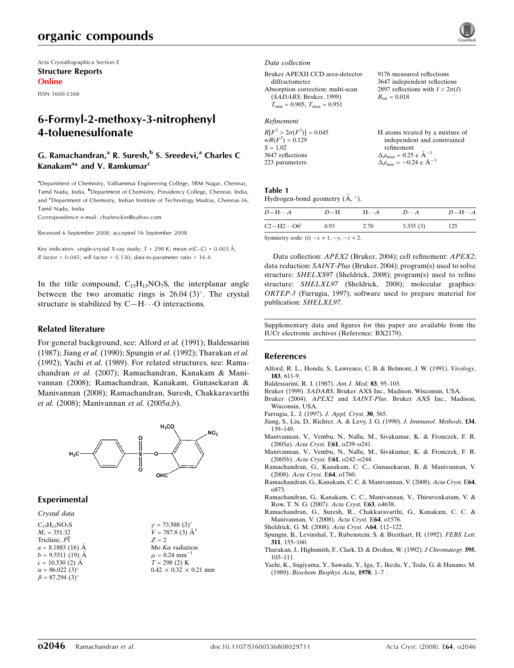## organic compounds

Acta Crystallographica Section E Structure Reports Online

ISSN 1600-5368

## 6-Formyl-2-methoxy-3-nitrophenyl 4-toluenesulfonate

## G. Ramachandran,<sup>a</sup> R. Suresh,<sup>b</sup> S. Sreedevi,<sup>a</sup> Charles C Kanakam<sup>a</sup>\* and V. Ramkumar<sup>c</sup>

<sup>a</sup>Department of Chemistry, Valliammai Engineering College, SRM Nagar, Chennai, Tamil Nadu, India, <sup>b</sup>Department of Chemistry, Presidency College, Chennai, India, and <sup>c</sup>Department of Chemistry, Indian Institute of Technology Madras, Chennai-36, Tamil Nadu, India

Correspondence e-mail: charlesckin@yahoo.com

Received 6 September 2008; accepted 16 September 2008

Key indicators: single-crystal X-ray study;  $T = 298$  K; mean  $\sigma$ (C–C) = 0.003 Å; R factor =  $0.045$ ; wR factor =  $0.130$ ; data-to-parameter ratio = 16.4.

In the title compound,  $C_{15}H_{13}NO_7S$ , the interplanar angle between the two aromatic rings is  $26.04$  (3)<sup>o</sup>. The crystal structure is stabilized by  $C-H \cdots O$  interactions.

## Related literature

For general background, see: Alford et al. (1991); Baldessarini (1987); Jiang et al. (1990); Spungin et al. (1992); Tharakan et al. (1992); Yachi et al. (1989). For related structures, see: Ramachandran et al. (2007); Ramachandran, Kanakam & Manivannan (2008); Ramachandran, Kanakam, Gunasekaran & Manivannan (2008); Ramachandran, Suresh, Chakkaravarthi et al. (2008); Manivannan et al. (2005a,b).



### Experimental

#### Crystal data

 $C_{15}H_{13}NO_7S$  $M_r = 351.32$ Triclinic,  $P\overline{1}$  $a = 8.1883(16)$  Å  $b = 9.5511(19)$  Å  $c = 10.530$  (2) Å  $\alpha = 86.022(3)^{\circ}$  $\beta = 87.294 (3)$ °

| $\gamma = 73.588(3)$ °                    |
|-------------------------------------------|
| $V = 787.8 \left(3\right) \mathring{A}^3$ |
| $Z = 2$                                   |
| Mo $K\alpha$ radiation                    |
| $\mu = 0.24$ mm <sup>-1</sup>             |
| $T = 298(2) K$                            |
| $0.42 \times 0.32 \times 0.21$ mm         |

#### Data collection

| Bruker APEXII CCD area-detector                  | 9176 measured reflections              |
|--------------------------------------------------|----------------------------------------|
| diffractometer                                   | 3647 independent reflections           |
| Absorption correction: multi-scan                | 2897 reflections with $I > 2\sigma(I)$ |
| (SADABS; Bruker, 1999)                           | $R_{\rm int} = 0.018$                  |
| $T_{\text{min}} = 0.905, T_{\text{max}} = 0.951$ |                                        |
|                                                  |                                        |

## Refinement

| $R[F^2 > 2\sigma(F^2)] = 0.045$ | H atoms treated by a mixture of                    |
|---------------------------------|----------------------------------------------------|
| $wR(F^2) = 0.129$               | independent and constrained                        |
| $S = 1.02$                      | refinement                                         |
| 3647 reflections                | $\Delta \rho_{\text{max}} = 0.25 \text{ e A}^{-3}$ |
| 223 parameters                  | $\Delta \rho_{\text{min}} = -0.24$ e $\AA^{-3}$    |
|                                 |                                                    |

### Table 1

## Hydrogen-bond geometry  $(A, \circ)$ .

| $D - H \cdots A$              | $D-H$ | $H\cdots A$ | $D\cdots A$ | $D$ -H $\cdots$ A |
|-------------------------------|-------|-------------|-------------|-------------------|
| $C2-H2\cdots$ O6 <sup>i</sup> | 0.93  | 2.70        | 3.335(3)    | 125               |

Symmetry code: (i)  $-x + 1$ ,  $-y$ ,  $-z + 2$ .

Data collection: APEX2 (Bruker, 2004); cell refinement: APEX2; data reduction: SAINT-Plus (Bruker, 2004); program(s) used to solve structure: SHELXS97 (Sheldrick, 2008); program(s) used to refine structure: SHELXL97 (Sheldrick, 2008); molecular graphics: ORTEP-3 (Farrugia, 1997); software used to prepare material for publication: SHELXL97.

Supplementary data and figures for this paper are available from the IUCr electronic archives (Reference: BX2179).

#### References

- Alford, R. L., Honda, S., Lawrence, C. B. & Belmont, J. W. (1991). Virology, 183, 611-9.
- Baldessarini, R. J. (1987). Am J. Med, 83, 95–103.
- Bruker (1999). SADABS, Bruker AXS Inc., Madison, Wisconsin, USA.
- Bruker (2004). APEX2 and SAINT-Plus. Bruker AXS Inc., Madison, Wisconsin, USA.
- Farrugia, L. J. (1997). J. Appl. Cryst. 30, 565.
- Jiang, S., Liu, D., Richter, A. & Levy, J. G. (1990). J. Immunol. Methods, 134, 139–149.
- Manivannan, V., Vembu, N., Nallu, M., Sivakumar, K. & Fronczek, F. R. (2005a). Acta Cryst. E61, o239–o241.
- Manivannan, V., Vembu, N., Nallu, M., Sivakumar, K. & Fronczek, F. R. (2005b). Acta Cryst. E61, o242–o244.
- Ramachandran, G., Kanakam, C. C., Gunasekaran, B. & Manivannan, V. (2008). Acta Cryst. E64, o1760.
- Ramachandran, G., Kanakam, C. C. & Manivannan, V. (2008). Acta Cryst. E64, o873.
- Ramachandran, G., Kanakam, C. C., Manivannan, V., Thiruvenkatam, V. & Row, T. N. G. (2007). Acta Cryst. E63, o4638.
- Ramachandran, G., Suresh, R., Chakkaravarthi, G., Kanakam, C. C. & Manivannan, V. (2008). Acta Cryst. E64, o1576.
- Sheldrick, G. M. (2008). Acta Cryst. A64, 112–122.
- Spungin, B., Levinshal, T., Rubenstein, S. & Breithart, H. (1992). FEBS Lett. 311, 155–160.
- Tharakan, J., Highsmith, F., Clark, D. & Drohsn, W. (1992). J Chromatogr. 595, 103–111.
- Yachi, K., Sugiyama, Y., Sawada, Y., Iga, T., Ikeda, Y., Toda, G. & Hanano, M. (1989). Biochem Biophys Acta, 1978, 1–7 .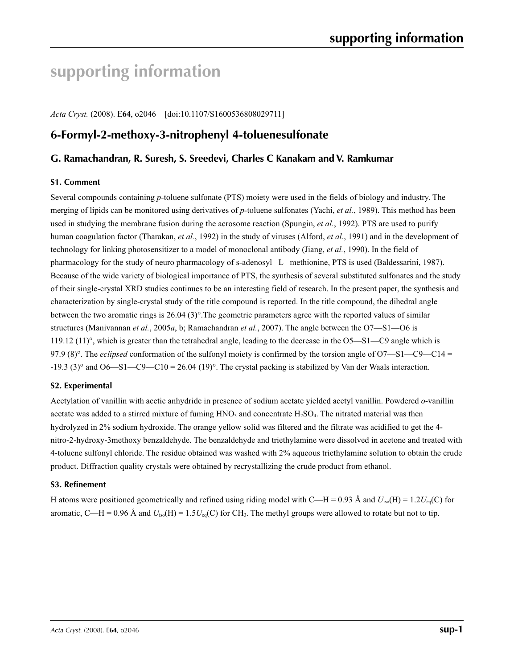# **supporting information**

*Acta Cryst.* (2008). E**64**, o2046 [doi:10.1107/S1600536808029711]

## **6-Formyl-2-methoxy-3-nitrophenyl 4-toluenesulfonate**

## **G. Ramachandran, R. Suresh, S. Sreedevi, Charles C Kanakam and V. Ramkumar**

## **S1. Comment**

Several compounds containing *p*-toluene sulfonate (PTS) moiety were used in the fields of biology and industry. The merging of lipids can be monitored using derivatives of *p*-toluene sulfonates (Yachi, *et al.*, 1989). This method has been used in studying the membrane fusion during the acrosome reaction (Spungin, *et al.*, 1992). PTS are used to purify human coagulation factor (Tharakan, *et al.*, 1992) in the study of viruses (Alford, *et al.*, 1991) and in the development of technology for linking photosensitizer to a model of monoclonal antibody (Jiang, *et al.*, 1990). In the field of pharmacology for the study of neuro pharmacology of s-adenosyl –L– methionine, PTS is used (Baldessarini, 1987). Because of the wide variety of biological importance of PTS, the synthesis of several substituted sulfonates and the study of their single-crystal XRD studies continues to be an interesting field of research. In the present paper, the synthesis and characterization by single-crystal study of the title compound is reported. In the title compound, the dihedral angle between the two aromatic rings is 26.04 (3)°.The geometric parameters agree with the reported values of similar structures (Manivannan *et al.*, 2005*a*, b; Ramachandran *et al.*, 2007). The angle between the O7—S1—O6 is 119.12 (11)<sup>°</sup>, which is greater than the tetrahedral angle, leading to the decrease in the O5—S1—C9 angle which is 97.9 (8)°. The *eclipsed* conformation of the sulfonyl moiety is confirmed by the torsion angle of O7—S1—C9—C14 =  $-19.3$  (3)° and O6—S1—C9—C10 = 26.04 (19)°. The crystal packing is stabilized by Van der Waals interaction.

## **S2. Experimental**

Acetylation of vanillin with acetic anhydride in presence of sodium acetate yielded acetyl vanillin. Powdered *o*-vanillin acetate was added to a stirred mixture of fuming  $HNO<sub>3</sub>$  and concentrate  $H<sub>2</sub>SO<sub>4</sub>$ . The nitrated material was then hydrolyzed in 2% sodium hydroxide. The orange yellow solid was filtered and the filtrate was acidified to get the 4 nitro-2-hydroxy-3methoxy benzaldehyde. The benzaldehyde and triethylamine were dissolved in acetone and treated with 4-toluene sulfonyl chloride. The residue obtained was washed with 2% aqueous triethylamine solution to obtain the crude product. Diffraction quality crystals were obtained by recrystallizing the crude product from ethanol.

## **S3. Refinement**

H atoms were positioned geometrically and refined using riding model with C—H = 0.93 Å and  $U_{iso}(H) = 1.2U_{eq}(C)$  for aromatic, C—H = 0.96 Å and  $U_{iso}(H) = 1.5U_{eq}(C)$  for CH<sub>3</sub>. The methyl groups were allowed to rotate but not to tip.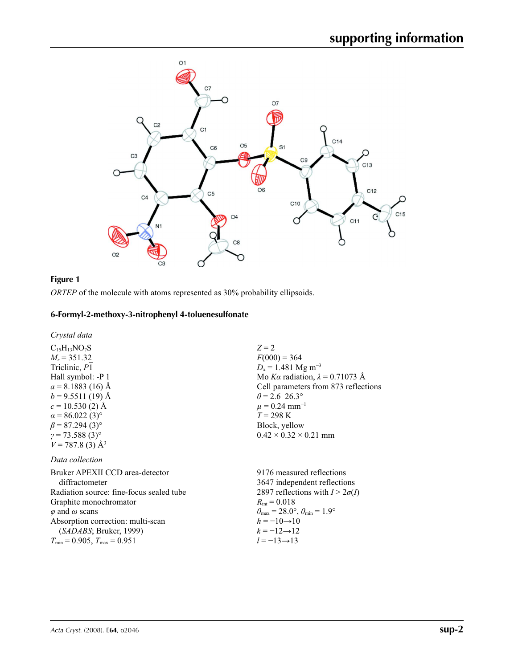

## **Figure 1**

*ORTEP* of the molecule with atoms represented as 30% probability ellipsoids.

## **6-Formyl-2-methoxy-3-nitrophenyl 4-toluenesulfonate**

*Crystal data*

 $C_{15}H_{13}NO_7S$  $M_r$  = 351.32 Triclinic, *P*1 Hall symbol: -P 1  $a = 8.1883(16)$  Å  $b = 9.5511(19)$  Å  $c = 10.530$  (2) Å  $\alpha$  = 86.022 (3)<sup>°</sup>  $\beta$  = 87.294 (3)<sup>°</sup>  $\gamma$  = 73.588 (3)<sup>o</sup>  $V = 787.8$  (3)  $\AA$ <sup>3</sup>

## *Data collection*

Bruker APEXII CCD area-detector diffractometer Radiation source: fine-focus sealed tube Graphite monochromator *φ* and *ω* scans Absorption correction: multi-scan (*SADABS*; Bruker, 1999)  $T_{\text{min}} = 0.905$ ,  $T_{\text{max}} = 0.951$ 

*Z* = 2  $F(000) = 364$ *D*<sub>x</sub> = 1.481 Mg m<sup>-3</sup> Mo *Kα* radiation, *λ* = 0.71073 Å Cell parameters from 873 reflections  $\theta$  = 2.6–26.3°  $\mu = 0.24$  mm<sup>-1</sup> *T* = 298 K Block, yellow  $0.42 \times 0.32 \times 0.21$  mm

9176 measured reflections 3647 independent reflections 2897 reflections with  $I > 2\sigma(I)$  $R_{\text{int}} = 0.018$  $\theta_{\text{max}} = 28.0^{\circ}, \theta_{\text{min}} = 1.9^{\circ}$  $h = -10 \rightarrow 10$  $k = -12 \rightarrow 12$ *l* = −13→13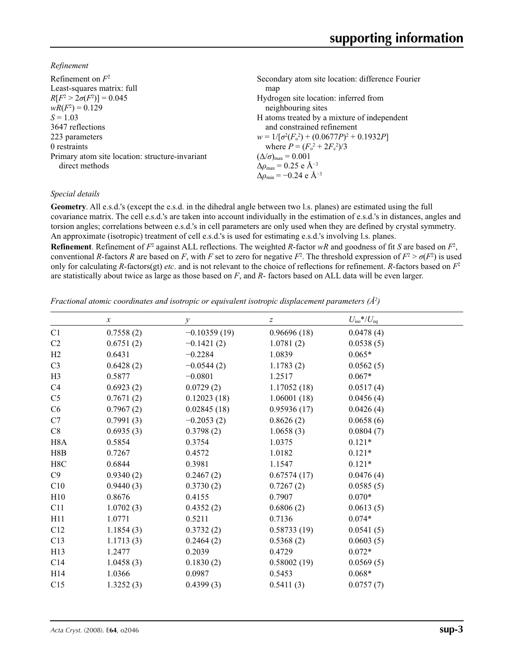*Refinement*

| Secondary atom site location: difference Fourier          |
|-----------------------------------------------------------|
| map                                                       |
| Hydrogen site location: inferred from                     |
| neighbouring sites                                        |
| H atoms treated by a mixture of independent               |
| and constrained refinement                                |
| $w = 1/[\sigma^2(F_0^2) + (0.0677P)^2 + 0.1932P]$         |
| where $P = (F_0^2 + 2F_c^2)/3$                            |
| $(\Delta/\sigma)_{\text{max}} = 0.001$                    |
| $\Delta\rho_{\rm max} = 0.25$ e Å <sup>-3</sup>           |
| $\Delta\rho_{\rm min} = -0.24 \text{ e } \text{\AA}^{-3}$ |
|                                                           |

## *Special details*

**Geometry**. All e.s.d.'s (except the e.s.d. in the dihedral angle between two l.s. planes) are estimated using the full covariance matrix. The cell e.s.d.'s are taken into account individually in the estimation of e.s.d.'s in distances, angles and torsion angles; correlations between e.s.d.'s in cell parameters are only used when they are defined by crystal symmetry. An approximate (isotropic) treatment of cell e.s.d.'s is used for estimating e.s.d.'s involving l.s. planes.

**Refinement**. Refinement of  $F^2$  against ALL reflections. The weighted R-factor wR and goodness of fit *S* are based on  $F^2$ , conventional *R*-factors *R* are based on *F*, with *F* set to zero for negative  $F^2$ . The threshold expression of  $F^2 > \sigma(F^2)$  is used only for calculating *R*-factors(gt) *etc*. and is not relevant to the choice of reflections for refinement. *R*-factors based on *F*<sup>2</sup> are statistically about twice as large as those based on *F*, and *R*- factors based on ALL data will be even larger.

*Fractional atomic coordinates and isotropic or equivalent isotropic displacement parameters (Å<sup>2</sup>)* 

|                | $\boldsymbol{\chi}$ | $\mathcal{Y}$  | z           | $U_{\rm iso}$ */ $U_{\rm eq}$ |  |
|----------------|---------------------|----------------|-------------|-------------------------------|--|
| C1             | 0.7558(2)           | $-0.10359(19)$ | 0.96696(18) | 0.0478(4)                     |  |
| C <sub>2</sub> | 0.6751(2)           | $-0.1421(2)$   | 1.0781(2)   | 0.0538(5)                     |  |
| H2             | 0.6431              | $-0.2284$      | 1.0839      | $0.065*$                      |  |
| C <sub>3</sub> | 0.6428(2)           | $-0.0544(2)$   | 1.1783(2)   | 0.0562(5)                     |  |
| H <sub>3</sub> | 0.5877              | $-0.0801$      | 1.2517      | $0.067*$                      |  |
| C <sub>4</sub> | 0.6923(2)           | 0.0729(2)      | 1.17052(18) | 0.0517(4)                     |  |
| C <sub>5</sub> | 0.7671(2)           | 0.12023(18)    | 1.06001(18) | 0.0456(4)                     |  |
| C6             | 0.7967(2)           | 0.02845(18)    | 0.95936(17) | 0.0426(4)                     |  |
| C7             | 0.7991(3)           | $-0.2053(2)$   | 0.8626(2)   | 0.0658(6)                     |  |
| C8             | 0.6935(3)           | 0.3798(2)      | 1.0658(3)   | 0.0804(7)                     |  |
| H8A            | 0.5854              | 0.3754         | 1.0375      | $0.121*$                      |  |
| H8B            | 0.7267              | 0.4572         | 1.0182      | $0.121*$                      |  |
| H8C            | 0.6844              | 0.3981         | 1.1547      | $0.121*$                      |  |
| C9             | 0.9340(2)           | 0.2467(2)      | 0.67574(17) | 0.0476(4)                     |  |
| C10            | 0.9440(3)           | 0.3730(2)      | 0.7267(2)   | 0.0585(5)                     |  |
| H10            | 0.8676              | 0.4155         | 0.7907      | $0.070*$                      |  |
| C11            | 1.0702(3)           | 0.4352(2)      | 0.6806(2)   | 0.0613(5)                     |  |
| H11            | 1.0771              | 0.5211         | 0.7136      | $0.074*$                      |  |
| C12            | 1.1854(3)           | 0.3732(2)      | 0.58733(19) | 0.0541(5)                     |  |
| C13            | 1.1713(3)           | 0.2464(2)      | 0.5368(2)   | 0.0603(5)                     |  |
| H13            | 1.2477              | 0.2039         | 0.4729      | $0.072*$                      |  |
| C14            | 1.0458(3)           | 0.1830(2)      | 0.58002(19) | 0.0569(5)                     |  |
| H14            | 1.0366              | 0.0987         | 0.5453      | $0.068*$                      |  |
| C15            | 1.3252(3)           | 0.4399(3)      | 0.5411(3)   | 0.0757(7)                     |  |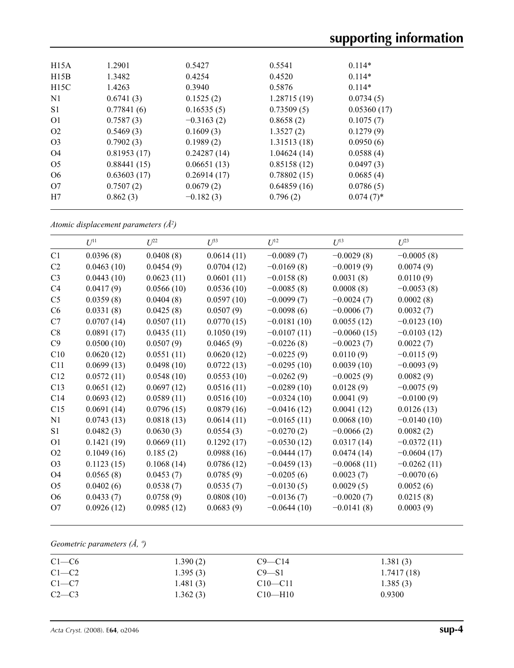| H15A           | 1.2901      | 0.5427       | 0.5541      | $0.114*$     |  |
|----------------|-------------|--------------|-------------|--------------|--|
| H15B           | 1.3482      | 0.4254       | 0.4520      | $0.114*$     |  |
| H15C           | 1.4263      | 0.3940       | 0.5876      | $0.114*$     |  |
| N <sub>1</sub> | 0.6741(3)   | 0.1525(2)    | 1.28715(19) | 0.0734(5)    |  |
| S <sub>1</sub> | 0.77841(6)  | 0.16535(5)   | 0.73509(5)  | 0.05360(17)  |  |
| O <sub>1</sub> | 0.7587(3)   | $-0.3163(2)$ | 0.8658(2)   | 0.1075(7)    |  |
| O <sub>2</sub> | 0.5469(3)   | 0.1609(3)    | 1.3527(2)   | 0.1279(9)    |  |
| O <sub>3</sub> | 0.7902(3)   | 0.1989(2)    | 1.31513(18) | 0.0950(6)    |  |
| O4             | 0.81953(17) | 0.24287(14)  | 1.04624(14) | 0.0588(4)    |  |
| O <sub>5</sub> | 0.88441(15) | 0.06651(13)  | 0.85158(12) | 0.0497(3)    |  |
| O <sub>6</sub> | 0.63603(17) | 0.26914(17)  | 0.78802(15) | 0.0685(4)    |  |
| O7             | 0.7507(2)   | 0.0679(2)    | 0.64859(16) | 0.0786(5)    |  |
| H7             | 0.862(3)    | $-0.182(3)$  | 0.796(2)    | $0.074(7)$ * |  |
|                |             |              |             |              |  |

*Atomic displacement parameters (Å2 )*

|                | $U^{11}$   | $U^{22}$   | $U^{33}$   | $U^{12}$      | $U^{13}$      | $U^{23}$      |
|----------------|------------|------------|------------|---------------|---------------|---------------|
| C1             | 0.0396(8)  | 0.0408(8)  | 0.0614(11) | $-0.0089(7)$  | $-0.0029(8)$  | $-0.0005(8)$  |
| C <sub>2</sub> | 0.0463(10) | 0.0454(9)  | 0.0704(12) | $-0.0169(8)$  | $-0.0019(9)$  | 0.0074(9)     |
| C <sub>3</sub> | 0.0443(10) | 0.0623(11) | 0.0601(11) | $-0.0158(8)$  | 0.0031(8)     | 0.0110(9)     |
| C4             | 0.0417(9)  | 0.0566(10) | 0.0536(10) | $-0.0085(8)$  | 0.0008(8)     | $-0.0053(8)$  |
| C <sub>5</sub> | 0.0359(8)  | 0.0404(8)  | 0.0597(10) | $-0.0099(7)$  | $-0.0024(7)$  | 0.0002(8)     |
| C <sub>6</sub> | 0.0331(8)  | 0.0425(8)  | 0.0507(9)  | $-0.0098(6)$  | $-0.0006(7)$  | 0.0032(7)     |
| C7             | 0.0707(14) | 0.0507(11) | 0.0770(15) | $-0.0181(10)$ | 0.0055(12)    | $-0.0123(10)$ |
| C8             | 0.0891(17) | 0.0435(11) | 0.1050(19) | $-0.0107(11)$ | $-0.0060(15)$ | $-0.0103(12)$ |
| C9             | 0.0500(10) | 0.0507(9)  | 0.0465(9)  | $-0.0226(8)$  | $-0.0023(7)$  | 0.0022(7)     |
| C10            | 0.0620(12) | 0.0551(11) | 0.0620(12) | $-0.0225(9)$  | 0.0110(9)     | $-0.0115(9)$  |
| C11            | 0.0699(13) | 0.0498(10) | 0.0722(13) | $-0.0295(10)$ | 0.0039(10)    | $-0.0093(9)$  |
| C12            | 0.0572(11) | 0.0548(10) | 0.0553(10) | $-0.0262(9)$  | $-0.0025(9)$  | 0.0082(9)     |
| C13            | 0.0651(12) | 0.0697(12) | 0.0516(11) | $-0.0289(10)$ | 0.0128(9)     | $-0.0075(9)$  |
| C14            | 0.0693(12) | 0.0589(11) | 0.0516(10) | $-0.0324(10)$ | 0.0041(9)     | $-0.0100(9)$  |
| C15            | 0.0691(14) | 0.0796(15) | 0.0879(16) | $-0.0416(12)$ | 0.0041(12)    | 0.0126(13)    |
| N1             | 0.0743(13) | 0.0818(13) | 0.0614(11) | $-0.0165(11)$ | 0.0068(10)    | $-0.0140(10)$ |
| S1             | 0.0482(3)  | 0.0630(3)  | 0.0554(3)  | $-0.0270(2)$  | $-0.0066(2)$  | 0.0082(2)     |
| O <sub>1</sub> | 0.1421(19) | 0.0669(11) | 0.1292(17) | $-0.0530(12)$ | 0.0317(14)    | $-0.0372(11)$ |
| O <sub>2</sub> | 0.1049(16) | 0.185(2)   | 0.0988(16) | $-0.0444(17)$ | 0.0474(14)    | $-0.0604(17)$ |
| O <sub>3</sub> | 0.1123(15) | 0.1068(14) | 0.0786(12) | $-0.0459(13)$ | $-0.0068(11)$ | $-0.0262(11)$ |
| O <sub>4</sub> | 0.0565(8)  | 0.0453(7)  | 0.0785(9)  | $-0.0205(6)$  | 0.0023(7)     | $-0.0070(6)$  |
| O <sub>5</sub> | 0.0402(6)  | 0.0538(7)  | 0.0535(7)  | $-0.0130(5)$  | 0.0029(5)     | 0.0052(6)     |
| O <sub>6</sub> | 0.0433(7)  | 0.0758(9)  | 0.0808(10) | $-0.0136(7)$  | $-0.0020(7)$  | 0.0215(8)     |
| O7             | 0.0926(12) | 0.0985(12) | 0.0683(9)  | $-0.0644(10)$ | $-0.0141(8)$  | 0.0003(9)     |

## *Geometric parameters (Å, º)*

| $C1-C6$   | 1.390(2) | $C9 - C14$    | 1.381(3)   |
|-----------|----------|---------------|------------|
| $C1-C2$   | 1.395(3) | $C9-S1$       | 1.7417(18) |
| $C1 - C7$ | 1.481(3) | $C10 - C11$   | 1.385(3)   |
| $C2-C3$   | 1.362(3) | $C10$ —H $10$ | 0.9300     |
|           |          |               |            |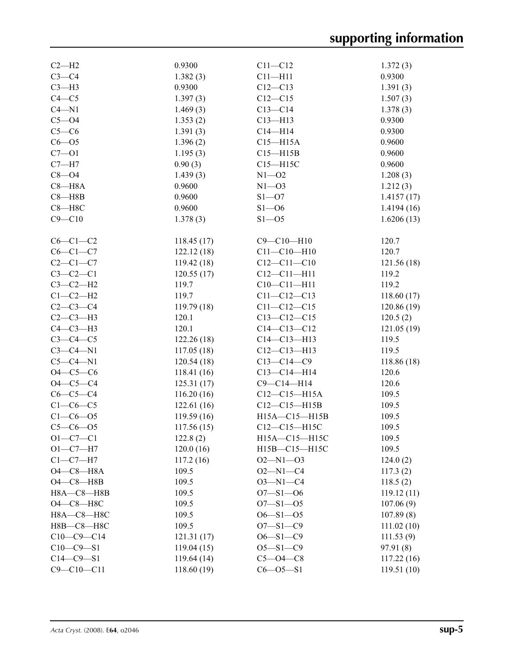| $C2-H2$          | 0.9300     | $C11 - C12$         | 1.372(3)    |
|------------------|------------|---------------------|-------------|
| $C3-C4$          | 1.382(3)   | $C11 - H11$         | 0.9300      |
| $C3-H3$          | 0.9300     | $C12 - C13$         | 1.391(3)    |
| $C4 - C5$        | 1.397(3)   | $C12 - C15$         | 1.507(3)    |
| $C4 - N1$        | 1.469(3)   | $C13 - C14$         | 1.378(3)    |
| $C5 - O4$        | 1.353(2)   | $C13 - H13$         | 0.9300      |
| $C5-C6$          | 1.391(3)   | $C14 - H14$         | 0.9300      |
| $C6 - O5$        | 1.396(2)   | $C15 - H15A$        | 0.9600      |
| $C7 - 01$        | 1.195(3)   | $C15 - H15B$        | 0.9600      |
| $C7 - H7$        | 0.90(3)    | $C15 - H15C$        | 0.9600      |
| $C8 - O4$        | 1.439(3)   | $N1 - 02$           | 1.208(3)    |
| $C8 - H8A$       | 0.9600     | $N1 - 03$           | 1.212(3)    |
| $C8 - H8B$       | 0.9600     | $S1 - 07$           | 1.4157(17)  |
| $C8 - H8C$       | 0.9600     | $S1 - 06$           | 1.4194(16)  |
| $C9 - C10$       | 1.378(3)   | $S1 - 05$           | 1.6206(13)  |
|                  |            |                     |             |
| $C6-C1-C2$       | 118.45(17) | $C9 - C10 - H10$    | 120.7       |
| $C6-C1-C7$       | 122.12(18) | $C11 - C10 - H10$   | 120.7       |
| $C2-C1-C7$       | 119.42(18) | $C12 - C11 - C10$   | 121.56(18)  |
| $C3-C2-C1$       | 120.55(17) | $C12 - C11 - H11$   | 119.2       |
| $C3-C2-H2$       | 119.7      | $C10-C11-H11$       | 119.2       |
|                  | 119.7      |                     |             |
| $C1-C2-H2$       |            | $C11 - C12 - C13$   | 118.60(17)  |
| $C2-C3-C4$       | 119.79(18) | $C11 - C12 - C15$   | 120.86 (19) |
| $C2-C3-H3$       | 120.1      | $C13-C12-C15$       | 120.5(2)    |
| $C4-C3-H3$       | 120.1      | $C14 - C13 - C12$   | 121.05(19)  |
| $C3-C4-C5$       | 122.26(18) | $C14 - C13 - H13$   | 119.5       |
| $C3-C4-N1$       | 117.05(18) | $C12-C13-H13$       | 119.5       |
| $C5-C4-N1$       | 120.54(18) | $C13-C14-C9$        | 118.86(18)  |
| $O4 - C5 - C6$   | 118.41(16) | $C13-C14-H14$       | 120.6       |
| $O4 - C5 - C4$   | 125.31(17) | $C9 - C14 - H14$    | 120.6       |
| $C6-C5-C4$       | 116.20(16) | $C12-C15-H15A$      | 109.5       |
| $C1-C6-C5$       | 122.61(16) | $C12 - C15 - H15B$  | 109.5       |
| $C1 - C6 - O5$   | 119.59(16) | H15A-C15-H15B       | 109.5       |
| $C5 - C6 - O5$   | 117.56(15) | C12-C15-H15C        | 109.5       |
| $O1 - C7 - C1$   | 122.8(2)   | $H15A - C15 - H15C$ | 109.5       |
| $O1 - C7 - H7$   | 120.0(16)  | H15B-C15-H15C       | 109.5       |
| $C1-C7-H7$       | 117.2(16)  | $O2 - N1 - O3$      | 124.0(2)    |
| $O4-C8-H8A$      | 109.5      | $O2 - N1 - C4$      | 117.3(2)    |
| $O4-C8 - H8B$    | 109.5      | $O3 - N1 - C4$      | 118.5(2)    |
| H8A-C8-H8B       | 109.5      | $O7 - S1 - O6$      | 119.12(11)  |
| О4-С8-Н8С        | 109.5      | $O7 - S1 - O5$      | 107.06(9)   |
| Н8А-С8-Н8С       | 109.5      | $O6 - S1 - O5$      | 107.89(8)   |
| Н8В-С8-Н8С       | 109.5      | $O7 - S1 - C9$      | 111.02(10)  |
| $C10-C9-C14$     | 121.31(17) | $O6 - S1 - C9$      | 111.53(9)   |
| $C10-C9-S1$      | 119.04(15) | $O5 - S1 - C9$      | 97.91(8)    |
| $C14 - C9 - S1$  | 119.64(14) | $C5 - O4 - C8$      | 117.22(16)  |
| $C9 - C10 - C11$ | 118.60(19) | $C6 - O5 - S1$      | 119.51(10)  |